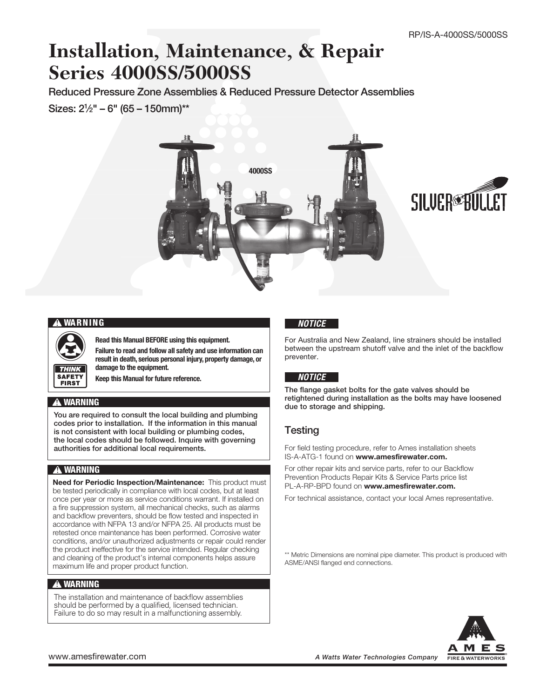# **Installation, Maintenance, & Repair Series 4000SS/5000SS**

Reduced Pressure Zone Assemblies & Reduced Pressure Detector Assemblies Sizes: 21 ⁄2" – 6" (65 – 150mm)\*\*





### **!** WARNING

Read this Manual BEFORE using this equipment.

Failure to read and follow all safety and use information can result in death, serious personal injury, property damage, or damage to the equipment.

Keep this Manual for future reference.

### **!** WARNING

**SAFETY FIRST** 

You are required to consult the local building and plumbing codes prior to installation. If the information in this manual is not consistent with local building or plumbing codes, the local codes should be followed. Inquire with governing authorities for additional local requirements.

### **!** WARNING

Need for Periodic Inspection/Maintenance: This product must be tested periodically in compliance with local codes, but at least once per year or more as service conditions warrant. If installed on a fire suppression system, all mechanical checks, such as alarms and backflow preventers, should be flow tested and inspected in accordance with NFPA 13 and/or NFPA 25. All products must be retested once maintenance has been performed. Corrosive water conditions, and/or unauthorized adjustments or repair could render the product ineffective for the service intended. Regular checking and cleaning of the product's internal components helps assure maximum life and proper product function.

### **!** WARNING

The installation and maintenance of backflow assemblies should be performed by a qualified, licensed technician. Failure to do so may result in a malfunctioning assembly.

### *NOTICE*

For Australia and New Zealand, line strainers should be installed between the upstream shutoff valve and the inlet of the backflow preventer.

### *NOTICE*

The flange gasket bolts for the gate valves should be retightened during installation as the bolts may have loosened due to storage and shipping.

### **Testing**

For field testing procedure, refer to Ames installation sheets IS-A-ATG-1 found on www.amesfirewater.com.

For other repair kits and service parts, refer to our Backflow Prevention Products Repair Kits & Service Parts price list PL-A-RP-BPD found on www.amesfirewater.com.

For technical assistance, contact your local Ames representative.

\*\* Metric Dimensions are nominal pipe diameter. This product is produced with ASME/ANSI flanged end connections.

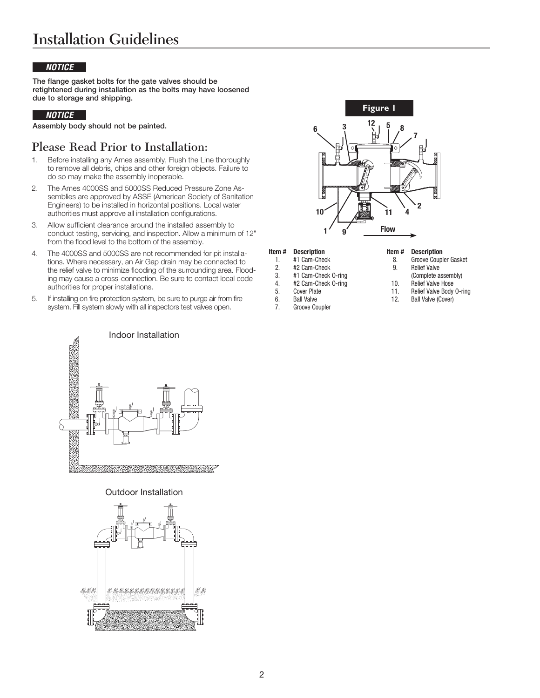## Installation Guidelines

### *NOTICE*

The flange gasket bolts for the gate valves should be retightened during installation as the bolts may have loosened due to storage and shipping.

### *NOTICE*

Assembly body should not be painted.

## Please Read Prior to Installation:

- 1. Before installing any Ames assembly, Flush the Line thoroughly to remove all debris, chips and other foreign objects. Failure to do so may make the assembly inoperable.
- 2. The Ames 4000SS and 5000SS Reduced Pressure Zone Assemblies are approved by ASSE (American Society of Sanitation Engineers) to be installed in horizontal positions. Local water authorities must approve all installation configurations.
- 3. Allow sufficient clearance around the installed assembly to conduct testing, servicing, and inspection. Allow a minimum of 12" from the flood level to the bottom of the assembly.
- 4. The 4000SS and 5000SS are not recommended for pit installations. Where necessary, an Air Gap drain may be connected to the relief valve to minimize flooding of the surrounding area. Flooding may cause a cross-connection. Be sure to contact local code authorities for proper installations.
- 5. If installing on fire protection system, be sure to purge air from fire system. Fill system slowly with all inspectors test valves open.



#### Item # Description

- 1. #1 Cam-Check
- 2. #2 Cam-Check
- 3. #1 Cam-Check O-ring
- 4. #2 Cam-Check O-ring
- 5. Cover Plate
- 6. Ball Valve<br>7. Groove Co
- 
- Groove Coupler

#### Item # Description

- 8. Groove Coupler Gasket
- 9. Relief Valve
	- (Complete assembly)
- 10. Relief Valve Hose
- 11. Relief Valve Body O-ring
- 12. Ball Valve (Cover)



### Outdoor Installation

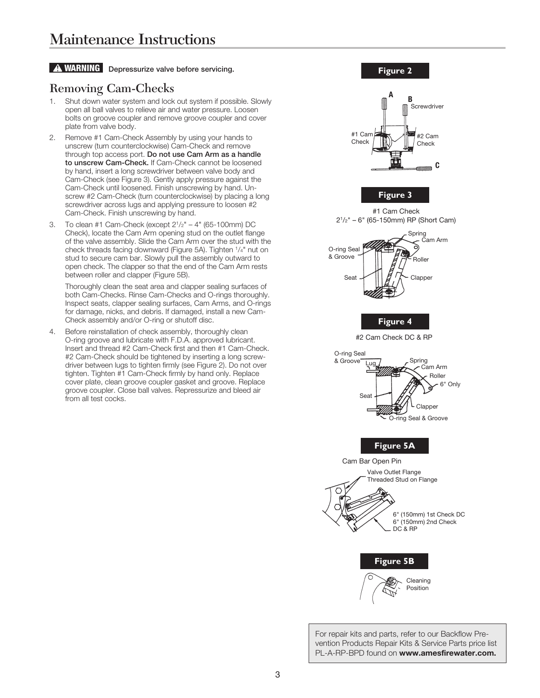### **A WARNING** Depressurize valve before servicing.

## Removing Cam-Checks

- 1. Shut down water system and lock out system if possible. Slowly open all ball valves to relieve air and water pressure. Loosen bolts on groove coupler and remove groove coupler and cover plate from valve body.
- 2. Remove #1 Cam-Check Assembly by using your hands to unscrew (turn counterclockwise) Cam-Check and remove through top access port. Do not use Cam Arm as a handle to unscrew Cam-Check. If Cam-Check cannot be loosened by hand, insert a long screwdriver between valve body and Cam-Check (see Figure 3). Gently apply pressure against the Cam-Check until loosened. Finish unscrewing by hand. Unscrew #2 Cam-Check (turn counterclockwise) by placing a long screwdriver across lugs and applying pressure to loosen #2 Cam-Check. Finish unscrewing by hand.
- 3. To clean #1 Cam-Check (except 21/2" 4" (65-100mm) DC Check), locate the Cam Arm opening stud on the outlet flange of the valve assembly. Slide the Cam Arm over the stud with the check threads facing downward (Figure 5A). Tighten 1/4" nut on stud to secure cam bar. Slowly pull the assembly outward to open check. The clapper so that the end of the Cam Arm rests between roller and clapper (Figure 5B).

Thoroughly clean the seat area and clapper sealing surfaces of both Cam-Checks. Rinse Cam-Checks and O-rings thoroughly. Inspect seats, clapper sealing surfaces, Cam Arms, and O-rings for damage, nicks, and debris. If damaged, install a new Cam-Check assembly and/or O-ring or shutoff disc.

Before reinstallation of check assembly, thoroughly clean O-ring groove and lubricate with F.D.A. approved lubricant. Insert and thread #2 Cam-Check first and then #1 Cam-Check. #2 Cam-Check should be tightened by inserting a long screwdriver between lugs to tighten firmly (see Figure 2). Do not over tighten. Tighten #1 Cam-Check firmly by hand only. Replace cover plate, clean groove coupler gasket and groove. Replace groove coupler. Close ball valves. Repressurize and bleed air from all test cocks.



For repair kits and parts, refer to our Backflow Prevention Products Repair Kits & Service Parts price list PL-A-RP-BPD found on www.amesfirewater.com.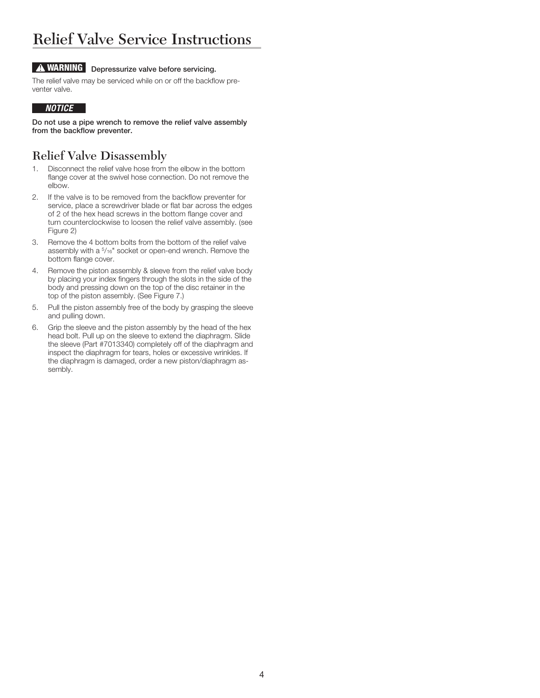## Relief Valve Service Instructions

## **A WARNING** Depressurize valve before servicing.

The relief valve may be serviced while on or off the backflow preventer valve.

### *NOTICE*

Do not use a pipe wrench to remove the relief valve assembly from the backflow preventer.

## Relief Valve Disassembly

- 1. Disconnect the relief valve hose from the elbow in the bottom flange cover at the swivel hose connection. Do not remove the elbow.
- 2. If the valve is to be removed from the backflow preventer for service, place a screwdriver blade or flat bar across the edges of 2 of the hex head screws in the bottom flange cover and turn counterclockwise to loosen the relief valve assembly. (see Figure 2)
- 3. Remove the 4 bottom bolts from the bottom of the relief valve assembly with a 5/16" socket or open-end wrench. Remove the bottom flange cover.
- 4. Remove the piston assembly & sleeve from the relief valve body by placing your index fingers through the slots in the side of the body and pressing down on the top of the disc retainer in the top of the piston assembly. (See Figure 7.)
- 5. Pull the piston assembly free of the body by grasping the sleeve and pulling down.
- 6. Grip the sleeve and the piston assembly by the head of the hex head bolt. Pull up on the sleeve to extend the diaphragm. Slide the sleeve (Part #7013340) completely off of the diaphragm and inspect the diaphragm for tears, holes or excessive wrinkles. If the diaphragm is damaged, order a new piston/diaphragm assembly.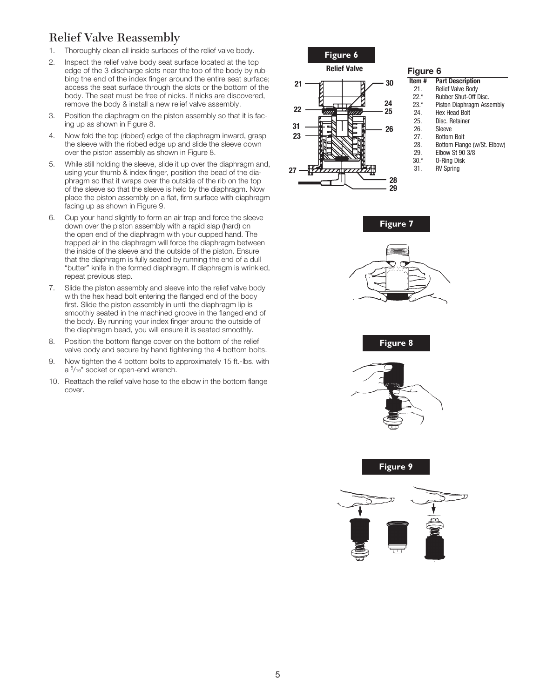## Relief Valve Reassembly

- 1. Thoroughly clean all inside surfaces of the relief valve body.
- 2. Inspect the relief valve body seat surface located at the top edge of the 3 discharge slots near the top of the body by rubbing the end of the index finger around the entire seat surface; access the seat surface through the slots or the bottom of the body. The seat must be free of nicks. If nicks are discovered, remove the body & install a new relief valve assembly.
- 3. Position the diaphragm on the piston assembly so that it is facing up as shown in Figure 8.
- 4. Now fold the top (ribbed) edge of the diaphragm inward, grasp the sleeve with the ribbed edge up and slide the sleeve down over the piston assembly as shown in Figure 8.
- 5. While still holding the sleeve, slide it up over the diaphragm and, using your thumb & index finger, position the bead of the diaphragm so that it wraps over the outside of the rib on the top of the sleeve so that the sleeve is held by the diaphragm. Now place the piston assembly on a flat, firm surface with diaphragm facing up as shown in Figure 9.
- 6. Cup your hand slightly to form an air trap and force the sleeve down over the piston assembly with a rapid slap (hard) on the open end of the diaphragm with your cupped hand. The trapped air in the diaphragm will force the diaphragm between the inside of the sleeve and the outside of the piston. Ensure that the diaphragm is fully seated by running the end of a dull "butter" knife in the formed diaphragm. If diaphragm is wrinkled, repeat previous step.
- 7. Slide the piston assembly and sleeve into the relief valve body with the hex head bolt entering the flanged end of the body first. Slide the piston assembly in until the diaphragm lip is smoothly seated in the machined groove in the flanged end of the body. By running your index finger around the outside of the diaphragm bead, you will ensure it is seated smoothly.
- 8. Position the bottom flange cover on the bottom of the relief valve body and secure by hand tightening the 4 bottom bolts.
- 9. Now tighten the 4 bottom bolts to approximately 15 ft.-lbs. with a  $5/16$ " socket or open-end wrench.
- 10. Reattach the relief valve hose to the elbow in the bottom flange cover.



### Figure 6

- Item # Part Description
- 21. Relief Valve Body 22.\* Rubber Shut-Off Disc.
- 23.\* Piston Diaphragm Assembly
- 24. Hex Head Bolt<br>25. Disc. Retainer
	- Disc. Retainer
- 26. Sleeve
- 27. Bottom Bolt<br>28. Bottom Flan
	- Bottom Flange (w/St. Elbow)
- 29. Elbow St 90 3/8
- 30.\* O-Ring Disk **RV Spring**











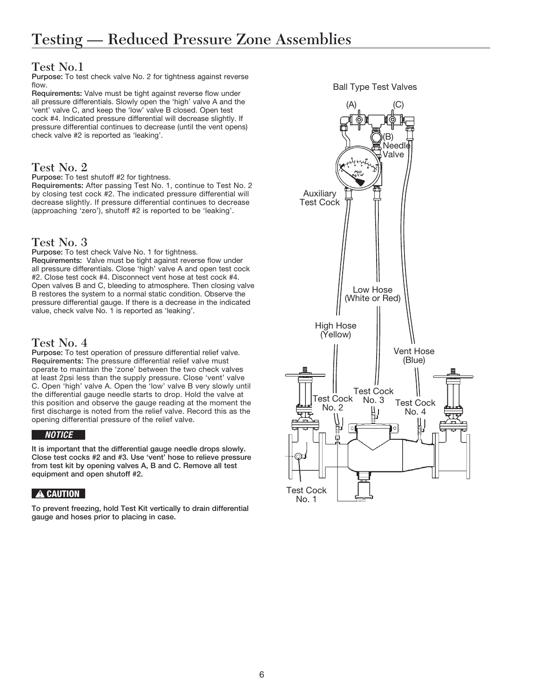## Test No.1

Purpose: To test check valve No. 2 for tightness against reverse flow.

Requirements: Valve must be tight against reverse flow under all pressure differentials. Slowly open the 'high' valve A and the 'vent' valve C, and keep the 'low' valve B closed. Open test cock #4. Indicated pressure differential will decrease slightly. If pressure differential continues to decrease (until the vent opens) check valve #2 is reported as 'leaking'.

## Test No. 2

Purpose: To test shutoff #2 for tightness.

Requirements: After passing Test No. 1, continue to Test No. 2 by closing test cock #2. The indicated pressure differential will decrease slightly. If pressure differential continues to decrease (approaching 'zero'), shutoff #2 is reported to be 'leaking'.

### Test No. 3

Purpose: To test check Valve No. 1 for tightness. Requirements: Valve must be tight against reverse flow under all pressure differentials. Close 'high' valve A and open test cock #2. Close test cock #4. Disconnect vent hose at test cock #4. Open valves B and C, bleeding to atmosphere. Then closing valve B restores the system to a normal static condition. Observe the pressure differential gauge. If there is a decrease in the indicated value, check valve No. 1 is reported as 'leaking'.

## Test No. 4

Purpose: To test operation of pressure differential relief valve. Requirements: The pressure differential relief valve must operate to maintain the 'zone' between the two check valves at least 2psi less than the supply pressure. Close 'vent' valve C. Open 'high' valve A. Open the 'low' valve B very slowly until the differential gauge needle starts to drop. Hold the valve at this position and observe the gauge reading at the moment the first discharge is noted from the relief valve. Record this as the opening differential pressure of the relief valve.

### *NOTICE*

It is important that the differential gauge needle drops slowly. Close test cocks #2 and #3. Use 'vent' hose to relieve pressure from test kit by opening valves A, B and C. Remove all test equipment and open shutoff #2.

### **A CAUTION**

To prevent freezing, hold Test Kit vertically to drain differential gauge and hoses prior to placing in case.

Ball Type Test Valves

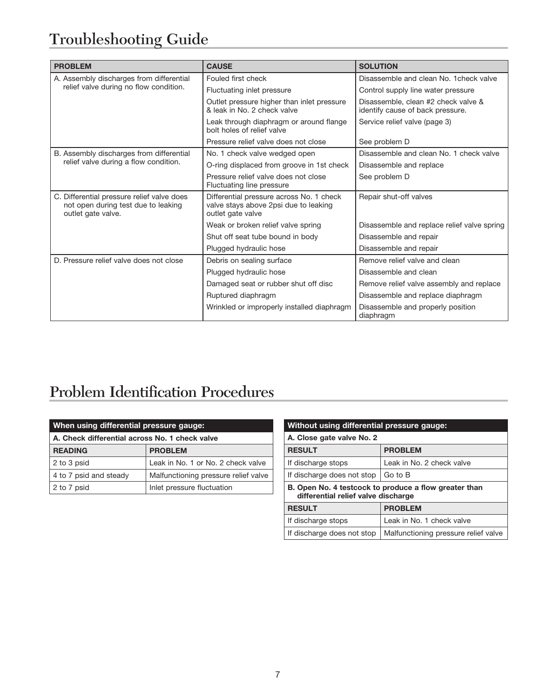# Troubleshooting Guide

| <b>PROBLEM</b>                                                                                          | <b>CAUSE</b>                                                                                           | <b>SOLUTION</b>                                                         |
|---------------------------------------------------------------------------------------------------------|--------------------------------------------------------------------------------------------------------|-------------------------------------------------------------------------|
| A. Assembly discharges from differential<br>relief valve during no flow condition.                      | Fouled first check                                                                                     | Disassemble and clean No. 1 check valve                                 |
|                                                                                                         | Fluctuating inlet pressure                                                                             | Control supply line water pressure                                      |
|                                                                                                         | Outlet pressure higher than inlet pressure<br>& leak in No. 2 check valve                              | Disassemble, clean #2 check valve &<br>identify cause of back pressure. |
|                                                                                                         | Leak through diaphragm or around flange<br>bolt holes of relief valve                                  | Service relief valve (page 3)                                           |
|                                                                                                         | Pressure relief valve does not close                                                                   | See problem D                                                           |
| B. Assembly discharges from differential<br>relief valve during a flow condition.                       | No. 1 check valve wedged open                                                                          | Disassemble and clean No. 1 check valve                                 |
|                                                                                                         | O-ring displaced from groove in 1st check                                                              | Disassemble and replace                                                 |
|                                                                                                         | Pressure relief valve does not close<br>Fluctuating line pressure                                      | See problem D                                                           |
| C. Differential pressure relief valve does<br>not open during test due to leaking<br>outlet gate valve. | Differential pressure across No. 1 check<br>valve stays above 2psi due to leaking<br>outlet gate valve | Repair shut-off valves                                                  |
|                                                                                                         | Weak or broken relief valve spring                                                                     | Disassemble and replace relief valve spring                             |
|                                                                                                         | Shut off seat tube bound in body                                                                       | Disassemble and repair                                                  |
|                                                                                                         | Plugged hydraulic hose                                                                                 | Disassemble and repair                                                  |
| D. Pressure relief valve does not close                                                                 | Debris on sealing surface                                                                              | Remove relief valve and clean                                           |
|                                                                                                         | Plugged hydraulic hose                                                                                 | Disassemble and clean                                                   |
|                                                                                                         | Damaged seat or rubber shut off disc                                                                   | Remove relief valve assembly and replace                                |
|                                                                                                         | Ruptured diaphragm                                                                                     | Disassemble and replace diaphragm                                       |
|                                                                                                         | Wrinkled or improperly installed diaphragm                                                             | Disassemble and properly position<br>diaphragm                          |

# Problem Identification Procedures

| When using differential pressure gauge:        |                                      |  |  |
|------------------------------------------------|--------------------------------------|--|--|
| A. Check differential across No. 1 check valve |                                      |  |  |
| <b>READING</b>                                 | <b>PROBLEM</b>                       |  |  |
| 2 to 3 psid                                    | Leak in No. 1 or No. 2 check valve   |  |  |
| 4 to 7 psid and steady                         | Malfunctioning pressure relief valve |  |  |
| 2 to 7 psid                                    | Inlet pressure fluctuation           |  |  |

| Without using differential pressure gauge:                                                   |                                      |  |  |
|----------------------------------------------------------------------------------------------|--------------------------------------|--|--|
| A. Close gate valve No. 2                                                                    |                                      |  |  |
| <b>RESULT</b>                                                                                | <b>PROBLEM</b>                       |  |  |
| If discharge stops                                                                           | Leak in No. 2 check valve            |  |  |
| If discharge does not stop                                                                   | Go to B                              |  |  |
| B. Open No. 4 testcock to produce a flow greater than<br>differential relief valve discharge |                                      |  |  |
| <b>RESULT</b>                                                                                | <b>PROBLEM</b>                       |  |  |
| If discharge stops                                                                           | Leak in No. 1 check valve            |  |  |
| If discharge does not stop                                                                   | Malfunctioning pressure relief valve |  |  |